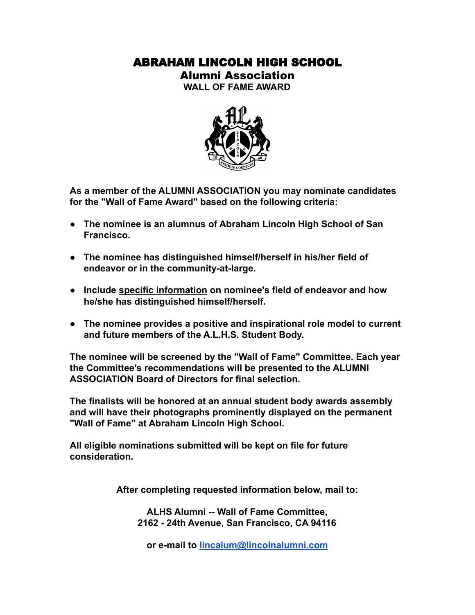## ABRAHAM LINCOLN HIGH SCHOOL

Alumni Association

**WALL OF FAME AWARD**



**As a member of the ALUMNI ASSOCIATION you may nominate candidates for the "Wall of Fame Award" based on the following criteria:**

- **● The nominee is an alumnus of Abraham Lincoln High School of San Francisco.**
- **● The nominee has distinguished himself/herself in his/her field of endeavor or in the community-at-large.**
- **Include specific information on nominee's field of endeavor and how he/she has distinguished himself/herself.**
- **● The nominee provides a positive and inspirational role model to current and future members of the A.L.H.S. Student Body.**

**The nominee will be screened by the "Wall of Fame" Committee. Each year the Committee's recommendations will be presented to the ALUMNI ASSOCIATION Board of Directors for final selection.**

**The finalists will be honored at an annual student body awards assembly and will have their photographs prominently displayed on the permanent "Wall of Fame" at Abraham Lincoln High School.**

**All eligible nominations submitted will be kept on file for future consideration.**

**After completing requested information below, mail to:**

**ALHS Alumni -- Wall of Fame Committee, 2162 - 24th Avenue, San Francisco, CA 94116**

**or e-mail to [lincalum@lincolnalumni.com](mailto:lincalum@lincolnalumni.com)**